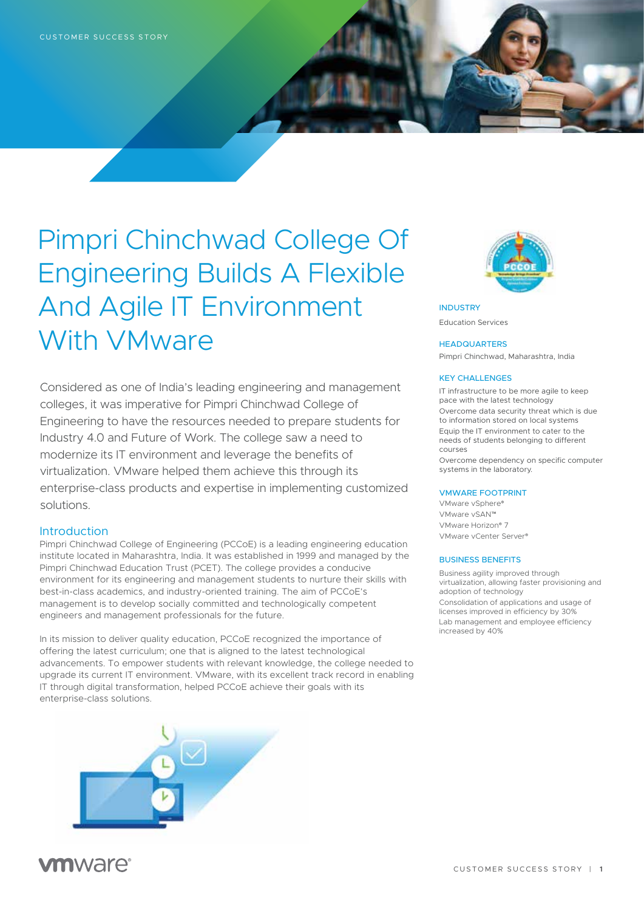# Pimpri Chinchwad College Of Engineering Builds A Flexible And Agile IT Environment With VMware

Considered as one of India's leading engineering and management colleges, it was imperative for Pimpri Chinchwad College of Engineering to have the resources needed to prepare students for Industry 4.0 and Future of Work. The college saw a need to modernize its IT environment and leverage the benefits of virtualization. VMware helped them achieve this through its enterprise-class products and expertise in implementing customized solutions.

# Introduction

Pimpri Chinchwad College of Engineering (PCCoE) is a leading engineering education institute located in Maharashtra, India. It was established in 1999 and managed by the Pimpri Chinchwad Education Trust (PCET). The college provides a conducive environment for its engineering and management students to nurture their skills with best-in-class academics, and industry-oriented training. The aim of PCCoE's management is to develop socially committed and technologically competent engineers and management professionals for the future.

In its mission to deliver quality education, PCCoE recognized the importance of offering the latest curriculum; one that is aligned to the latest technological advancements. To empower students with relevant knowledge, the college needed to upgrade its current IT environment. VMware, with its excellent track record in enabling IT through digital transformation, helped PCCoE achieve their goals with its enterprise-class solutions.





INDUSTRY Education Services

#### **HEADQUARTERS**

Pimpri Chinchwad, Maharashtra, India

#### KEY CHALLENGES

IT infrastructure to be more agile to keep pace with the latest technology Overcome data security threat which is due to information stored on local systems Equip the IT environment to cater to the needs of students belonging to different courses

Overcome dependency on specific computer systems in the laboratory.

### VMWARE FOOTPRINT

VMware vSphere® VMware vSAN™ VMware Horizon® 7 VMware vCenter Server®

#### BUSINESS BENEFITS

Business agility improved through virtualization, allowing faster provisioning and adoption of technology Consolidation of applications and usage of licenses improved in efficiency by 30% Lab management and employee efficiency increased by 40%

# **vm**ware<sup>®</sup>